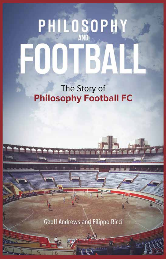## PHILOSOPHY

The Story of **Philosophy Football FC** 

Geoff Andrews and Filippo Ricci

ü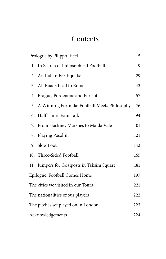## **Contents**

| Prologue by Filippo Ricci          |                                                 | 5   |
|------------------------------------|-------------------------------------------------|-----|
| 1.                                 | In Search of Philosophical Football             | 9   |
|                                    | 2. An Italian Earthquake                        | 29  |
|                                    | 3. All Roads Lead to Rome                       | 43  |
|                                    | 4. Prague, Pordenone and Parisot                | 57  |
|                                    | 5. A Winning Formula: Football Meets Philosophy | 76  |
|                                    | 6. Half-Time Team Talk                          | 94  |
| 7.                                 | From Hackney Marshes to Maida Vale              | 101 |
| 8.                                 | Playing Pasolini                                | 121 |
|                                    | 9. Slow Foot                                    | 143 |
|                                    | 10. Three-Sided Football                        | 165 |
|                                    | 11. Jumpers for Goalposts in Taksim Square      | 181 |
| Epilogue: Football Comes Home      |                                                 | 197 |
| The cities we visited in our Tours |                                                 | 221 |
| The nationalities of our players   |                                                 | 222 |
| The pitches we played on in London |                                                 | 223 |
| Acknowledgements                   |                                                 | 224 |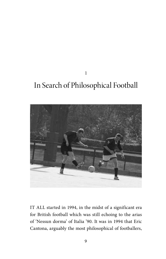## In Search of Philosophical Football

1



IT ALL started in 1994, in the midst of a significant era for British football which was still echoing to the arias of 'Nessun dorma' of Italia '90. It was in 1994 that Eric Cantona, arguably the most philosophical of footballers,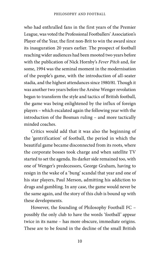who had enthralled fans in the first years of the Premier League, was voted the Professional Footballers' Association's Player of the Year, the first non-Brit to win the award since its inauguration 20 years earlier. The prospect of football reaching wider audiences had been mooted two years before with the publication of Nick Hornby's *Fever Pitch* and, for some, 1994 was the seminal moment in the modernisation of the people's game, with the introduction of all-seater stadia, and the highest attendances since 1980/81. Though it was another two years before the Arsène Wenger revolution began to transform the style and tactics of British football, the game was being enlightened by the influx of foreign players – which escalated again the following year with the introduction of the Bosman ruling – and more tactically minded coaches.

Critics would add that it was also the beginning of the 'gentrification' of football, the period in which the beautiful game became disconnected from its roots, where the corporate bosses took charge and when satellite TV started to set the agenda. Its darker side remained too, with one of Wenger's predecessors, George Graham, having to resign in the wake of a 'bung' scandal that year and one of his star players, Paul Merson, admitting his addiction to drugs and gambling. In any case, the game would never be the same again, and the story of this club is bound up with these developments.

However, the founding of Philosophy Football FC – possibly the only club to have the words 'football' appear twice in its name – has more obscure, immediate origins. These are to be found in the decline of the small British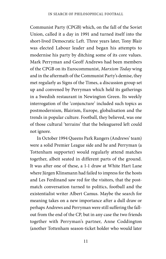Communist Party (CPGB) which, on the fall of the Soviet Union, called it a day in 1991 and turned itself into the short-lived Democratic Left. Three years later, Tony Blair was elected Labour leader and began his attempts to modernise his party by ditching some of its core values. Mark Perryman and Geoff Andrews had been members of the CPGB on its Eurocommunist, *Marxism Today* wing and in the aftermath of the Communist Party's demise, they met regularly as Signs of the Times, a discussion group set up and convened by Perryman which held its gatherings in a Swedish restaurant in Newington Green. Its weekly interrogation of the 'conjuncture' included such topics as postmodernism, Blairism, Europe, globalisation and the trends in popular culture. Football, they believed, was one of those cultural 'terrains' that the beleaguered left could not ignore.

In October 1994 Queens Park Rangers (Andrews' team) were a solid Premier League side and he and Perryman (a Tottenham supporter) would regularly attend matches together, albeit seated in different parts of the ground. It was after one of these, a 1-1 draw at White Hart Lane where Jürgen Klinsmann had failed to impress for the hosts and Les Ferdinand saw red for the visitors, that the postmatch conversation turned to politics, football and the existentialist writer Albert Camus. Maybe the search for meaning takes on a new importance after a dull draw or perhaps Andrews and Perryman were still suffering the fallout from the end of the CP, but in any case the two friends together with Perryman's partner, Anne Coddington (another Tottenham season-ticket holder who would later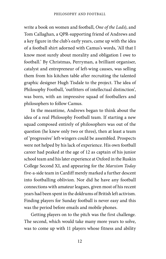write a book on women and football, *One of the Lads*), and Tom Callaghan, a QPR-supporting friend of Andrews and a key figure in the club's early years, came up with the idea of a football shirt adorned with Camus's words, 'All that I know most surely about morality and obligation I owe to football.' By Christmas, Perryman, a brilliant organiser, catalyst and entrepreneur of left-wing causes, was selling them from his kitchen table after recruiting the talented graphic designer Hugh Tisdale to the project. The idea of Philosophy Football, 'outfitters of intellectual distinction', was born, with an impressive squad of footballers and philosophers to follow Camus.

In the meantime, Andrews began to think about the idea of a real Philosophy Football team. If starting a new squad composed entirely of philosophers was out of the question (he knew only two or three), then at least a team of 'progressive' left-wingers could be assembled. Prospects were not helped by his lack of experience. His own football career had peaked at the age of 12 as captain of his junior school team and his later experience at Oxford in the Ruskin College Second XI, and appearing for the *Marxism Today*  five-a-side team in Cardiff merely marked a further descent into footballing oblivion. Nor did he have any football connections with amateur leagues, given most of his recent years had been spent in the doldrums of British left activism. Finding players for Sunday football is never easy and this was the period before emails and mobile phones.

Getting players on to the pitch was the first challenge. The second, which would take many more years to solve, was to come up with 11 players whose fitness and ability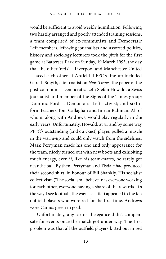would be sufficient to avoid weekly humiliation. Following two hastily arranged and poorly attended training sessions, a team comprised of ex-communists and Democratic Left members, left-wing journalists and assorted politics, history and sociology lecturers took the pitch for the first game at Battersea Park on Sunday, 19 March 1995, the day that the other 'reds' – Liverpool and Manchester United – faced each other at Anfield. PFFC's line-up included Gareth Smyth, a journalist on *New Times*, the paper of the post-communist Democratic Left; Stefan Howald, a Swiss journalist and member of the Signs of the Times group; Dominic Ford, a Democratic Left activist; and sixthform teachers Tom Callaghan and Imran Rahman. All of whom, along with Andrews, would play regularly in the early years. Unfortunately, Howald, at 41 and by some way PFFC's outstanding (and quickest) player, pulled a muscle in the warm-up and could only watch from the sidelines. Mark Perryman made his one and only appearance for the team, nicely turned out with new boots and exhibiting much energy, even if, like his team-mates, he rarely got near the ball. By then, Perryman and Tisdale had produced their second shirt, in honour of Bill Shankly. His socialist collectivism ('The socialism I believe in is everyone working for each other, everyone having a share of the rewards. It's the way I see football, the way I see life') appealed to the ten outfield players who wore red for the first time. Andrews wore Camus green in goal.

Unfortunately, any sartorial elegance didn't compensate for events once the match got under way. The first problem was that all the outfield players kitted out in red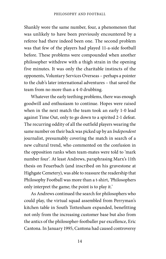Shankly wore the same number, four, a phenomenon that was unlikely to have been previously encountered by a referee had there indeed been one. The second problem was that few of the players had played 11-a-side football before. These problems were compounded when another philosopher withdrew with a thigh strain in the opening five minutes. It was only the charitable instincts of the opponents, Voluntary Services Overseas – perhaps a pointer to the club's later international adventures – that saved the team from no more than a 4-0 drubbing.

Whatever the early teething problems, there was enough goodwill and enthusiasm to continue. Hopes were raised when in the next match the team took an early 1-0 lead against Time Out, only to go down to a spirited 2-1 defeat. The recurring oddity of all the outfield players wearing the same number on their back was picked up by an *Independent* journalist, presumably covering the match in search of a new cultural trend, who commented on the confusion in the opposition ranks when team-mates were told to 'mark number four'. At least Andrews, paraphrasing Marx's 11th thesis on Feuerbach (and inscribed on his gravestone at Highgate Cemetery), was able to reassure the readership that Philosophy Football was more than a t-shirt, 'Philosophers only interpret the game; the point is to play it.'

As Andrews continued the search for philosophers who could play, the virtual squad assembled from Perryman's kitchen table in South Tottenham expanded, benefitting not only from the increasing customer base but also from the antics of the philosopher-footballer par excellence, Eric Cantona. In January 1995, Cantona had caused controversy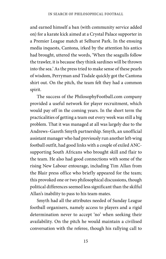and earned himself a ban (with community service added on) for a karate kick aimed at a Crystal Palace supporter in a Premier League match at Selhurst Park. In the ensuing media inquests, Cantona, irked by the attention his antics had brought, uttered the words, 'When the seagulls follow the trawler, it is because they think sardines will be thrown into the sea.' As the press tried to make sense of these pearls of wisdom, Perryman and Tisdale quickly got the Cantona shirt out. On the pitch, the team felt they had a common spirit.

The success of the PhilosophyFootball.com company provided a useful network for player recruitment, which would pay off in the coming years. In the short term the practicalities of getting a team out every week was still a big problem. That it was managed at all was largely due to the Andrews–Gareth Smyth partnership. Smyth, an unofficial assistant manager who had previously run another left-wing football outfit, had good links with a couple of exiled ANCsupporting South Africans who brought skill and flair to the team. He also had good connections with some of the rising New Labour entourage, including Tim Allan from the Blair press office who briefly appeared for the team; this provoked one or two philosophical discussions, though political differences seemed less significant than the skilful Allan's inability to pass to his team-mates.

Smyth had all the attributes needed of Sunday League football organisers, namely access to players and a rigid determination never to accept 'no' when seeking their availability. On the pitch he would maintain a civilised conversation with the referee, though his rallying call to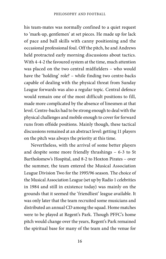his team-mates was normally confined to a quiet request to 'mark-up, gentlemen' at set pieces. He made up for lack of pace and ball skills with canny positioning and the occasional professional foul. Off the pitch, he and Andrews held protracted early morning discussions about tactics. With 4-4-2 the favoured system at the time, much attention was placed on the two central midfielders – who would have the 'holding' role? – while finding two centre-backs capable of dealing with the physical threat from Sunday League forwards was also a regular topic. Central defence would remain one of the most difficult positions to fill, made more complicated by the absence of linesmen at that level. Centre-backs had to be strong enough to deal with the physical challenges and mobile enough to cover for forward runs from offside positions. Mainly though, these tactical discussions remained at an abstract level: getting 11 players on the pitch was always the priority at this time.

Nevertheless, with the arrival of some better players and despite some more friendly thrashings – 6-3 to St Bartholomew's Hospital, and 8-2 to Hoxton Pirates – over the summer, the team entered the Musical Association League Division Two for the 1995/96 season. The choice of the Musical Association League (set up by Radio 1 celebrities in 1984 and still in existence today) was mainly on the grounds that it seemed the 'friendliest' league available. It was only later that the team recruited some musicians and distributed an annual CD among the squad. Home matches were to be played at Regent's Park. Though PFFC's home pitch would change over the years, Regent's Park remained the spiritual base for many of the team and the venue for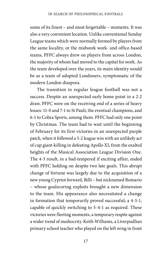some of its finest – and most forgettable – moments. It was also a very convenient location. Unlike conventional Sunday League teams which were normally formed by players from the same locality, or the midweek work- and office-based teams, PFFC always drew on players from across London, the majority of whom had moved to the capital for work. As the team developed over the years, its main identity would be as a team of adopted Londoners, symptomatic of the modern London diaspora.

The transition to regular league football was not a success. Despite an unexpected early home point in a 2-2 draw, PFFC were on the receiving end of a series of heavy losses: 11-0 and 7-1 to St Pauli, the eventual champions, and 6-1 to Cobra Sports, among them. PFFC had only one point by Christmas. The team had to wait until the beginning of February for its first victories in an unexpected purple patch, when it followed a 5-2 league win with an unlikely act of cup giant-killing in defeating Apollo XI, from the exalted heights of the Musical Association League Division One. The 4-3 result, in a bad-tempered if exciting affair, ended with PFFC holding on despite two late goals. This abrupt change of fortune was largely due to the acquisition of a new young Cypriot forward, Billi – but nicknamed Romario – whose goalscoring exploits brought a new dimension to the team. His appearance also necessitated a change in formation that temporarily proved successful; a 4-5-1, capable of quickly switching to 5-4-1 as required. These victories were fleeting moments, a temporary respite against a wider trend of mediocrity. Keith Williams, a Liverpudlian primary school teacher who played on the left wing in front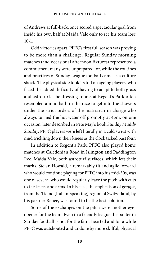of Andrews at full-back, once scored a spectacular goal from inside his own half at Maida Vale only to see his team lose  $10 - 1$ .

Odd victories apart, PFFC's first full season was proving to be more than a challenge. Regular Sunday morning matches (and occasional afternoon fixtures) represented a commitment many were unprepared for, while the routines and practices of Sunday League football came as a culture shock. The physical side took its toll on ageing players, who faced the added difficulty of having to adapt to both grass and astroturf. The dressing rooms at Regent's Park often resembled a mud bath in the race to get into the showers under the strict orders of the matriarch in charge who always turned the hot water off promptly at 4pm; on one occasion, later described in Pete May's book *Sunday Muddy Sunday*, PFFC players were left literally in a cold sweat with mud trickling down their knees as the clock ticked past four.

In addition to Regent's Park, PFFC also played home matches at Caledonian Road in Islington and Paddington Rec, Maida Vale, both astroturf surfaces, which left their marks. Stefan Howald, a remarkably fit and agile forward who would continue playing for PFFC into his mid-50s, was one of several who would regularly leave the pitch with cuts to the knees and arms. In his case, the application of *grappa*, from the Ticino (Italian-speaking) region of Switzerland, by his partner Renee, was found to be the best solution.

Some of the exchanges on the pitch were another eyeopener for the team. Even in a friendly league the banter in Sunday football is not for the faint-hearted and for a while PFFC was outshouted and undone by more skilful, physical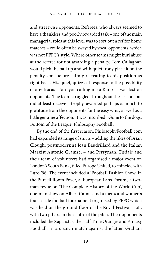and streetwise opponents. Referees, who always seemed to have a thankless and poorly rewarded task – one of the main managerial roles at this level was to sort out a ref for home matches – could often be swayed by vocal opponents, which was not PFFC's style. Where other teams might hurl abuse at the referee for not awarding a penalty, Tom Callaghan would pick the ball up and with quiet irony place it on the penalty spot before calmly retreating to his position as right-back. His quiet, quizzical response to the possibility of any fracas – 'are you calling me a Kant?' – was lost on opponents. The team struggled throughout the season, but did at least receive a trophy, awarded perhaps as much to gratitude from the opponents for the easy wins, as well as a little genuine affection. It was inscribed, 'Gone to the dogs. Bottom of the League. Philosophy Football'.

By the end of the first season, PhilosophyFootball.com had expanded its range of shirts – adding the likes of Brian Clough, postmodernist Jean Baudrillard and the Italian Marxist Antonio Gramsci – and Perryman, Tisdale and their team of volunteers had organised a major event on London's South Bank, titled Europe United, to coincide with Euro '96. The event included a 'Football Fashion Show' in the Purcell Room Foyer, a 'European Fans Forum', a twoman revue on 'The Complete History of the World Cup', one-man show on Albert Camus and a men's and women's four-a-side football tournament organised by PFFC which was held on the ground floor of the Royal Festival Hall, with two pillars in the centre of the pitch. Their opponents included the Zapatistas, the Half-Time Oranges and Fantasy Football. In a crunch match against the latter, Graham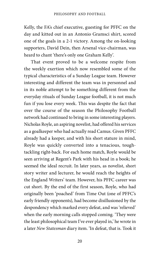Kelly, the FA's chief executive, guesting for PFFC on the day and kitted out in an Antonio Gramsci shirt, scored one of the goals in a 2-1 victory. Among the on-looking supporters, David Dein, then Arsenal vice-chairman, was heard to chant 'there's only one Graham Kelly'.

That event proved to be a welcome respite from the weekly exertion which now resembled some of the typical characteristics of a Sunday League team. However interesting and different the team was in personnel and in its noble attempt to be something different from the everyday rituals of Sunday League football, it is not much fun if you lose every week. This was despite the fact that over the course of the season the Philosophy Football network had continued to bring in some interesting players. Nicholas Royle, an aspiring novelist, had offered his services as a goalkeeper who had actually read Camus. Given PFFC already had a keeper, and with his short stature in mind, Royle was quickly converted into a tenacious, toughtackling right-back. For each home match, Royle would be seen arriving at Regent's Park with his head in a book; he seemed the ideal recruit. In later years, as novelist, short story writer and lecturer, he would reach the heights of the England Writers' team. However, his PFFC career was cut short. By the end of the first season, Royle, who had originally been 'poached' from Time Out (one of PFFC's early friendly opponents), had become disillusioned by the despondency which marked every defeat, and was 'relieved' when the early morning calls stopped coming. 'They were the least philosophical team I've ever played in,' he wrote in a later *New Statesman* diary item. 'In defeat, that is. Took it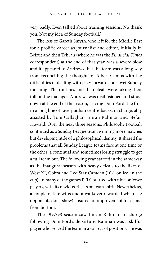very badly. Even talked about training sessions. No thank you. Not my idea of Sunday football.'

The loss of Gareth Smyth, who left for the Middle East for a prolific career as journalist and editor, initially in Beirut and then Tehran (where he was the *Financial Times* correspondent) at the end of that year, was a severe blow and it appeared to Andrews that the team was a long way from reconciling the thoughts of Albert Camus with the difficulties of dealing with pacy forwards on a wet Sunday morning. The routines and the defeats were taking their toll on the manager. Andrews was disillusioned and stood down at the end of the season, leaving Dom Ford, the first in a long line of Liverpudlian centre-backs, in charge, ably assisted by Tom Callaghan, Imran Rahman and Stefan Howald. Over the next three seasons, Philosophy Football continued as a Sunday League team, winning more matches but developing little of a philosophical identity. It shared the problems that all Sunday League teams face at one time or the other: a continual and sometimes losing struggle to get a full team out. The following year started in the same way as the inaugural season with heavy defeats to the likes of West XI, Cobra and Red Star Camden (10-1 on ice, in the cup). In many of the games PFFC started with nine or fewer players, with its obvious effects on team spirit. Nevertheless, a couple of late wins and a walkover (awarded when the opponents don't show) ensured an improvement to second from bottom.

The 1997/98 season saw Imran Rahman in charge following Dom Ford's departure. Rahman was a skilful player who served the team in a variety of positions. He was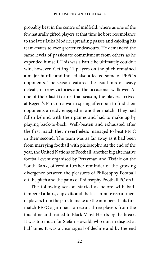probably best in the centre of midfield, where as one of the few naturally gifted players at that time he bore resemblance to the later Luka Modrić, spreading passes and cajoling his team-mates to ever greater endeavours. He demanded the same levels of passionate commitment from others as he expended himself. This was a battle he ultimately couldn't win, however. Getting 11 players on the pitch remained a major hurdle and indeed also affected some of PFFC's opponents. The season featured the usual mix of heavy defeats, narrow victories and the occasional walkover. At one of their last fixtures that season, the players arrived at Regent's Park on a warm spring afternoon to find their opponents already engaged in another match. They had fallen behind with their games and had to make up by playing back-to-back. Well-beaten and exhausted after the first match they nevertheless managed to beat PFFC in their second. The team was as far away as it had been from marrying football with philosophy. At the end of the year, the United Nations of Football, another big alternative football event organised by Perryman and Tisdale on the South Bank, offered a further reminder of the growing divergence between the pleasures of Philosophy Football off the pitch and the pains of Philosophy Football FC on it.

The following season started as before with badtempered affairs, cup exits and the last-minute recruitment of players from the park to make up the numbers. In its first match PFFC again had to recruit three players from the touchline and trailed to Black Vinyl Hearts by the break. It was too much for Stefan Howald, who quit in disgust at half-time. It was a clear signal of decline and by the end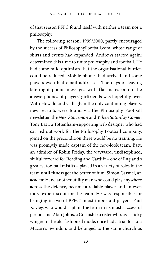of that season PFFC found itself with neither a team nor a philosophy.

The following season, 1999/2000, partly encouraged by the success of PhilosophyFootball.com, whose range of shirts and events had expanded, Andrews started again: determined this time to unite philosophy and football. He had some mild optimism that the organisational burden could be reduced. Mobile phones had arrived and some players even had email addresses. The days of leaving late-night phone messages with flat-mates or on the answerphones of players' girlfriends was hopefully over. With Howald and Callaghan the only continuing players, new recruits were found via the Philosophy Football newsletter, the *New Statesman* and *When Saturday Comes.*  Tony Batt, a Tottenham-supporting web designer who had carried out work for the Philosophy Football company, joined on the precondition there would be no training. He was promptly made captain of the new-look team. Batt, an admirer of Robin Friday, the wayward, undisciplined, skilful forward for Reading and Cardiff – one of England's greatest football misfits – played in a variety of roles in the team until fitness got the better of him. Simon Carmel, an academic and another utility man who could play anywhere across the defence, became a reliable player and an even more expert scout for the team. He was responsible for bringing in two of PFFC's most important players: Paul Kayley, who would captain the team in its most successful period, and Alan Johns, a Cornish barrister who, as a tricky winger in the old-fashioned mode, once had a trial for Lou Macari's Swindon, and belonged to the same church as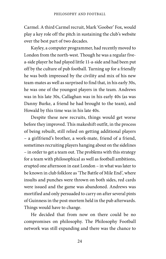Carmel. A third Carmel recruit, Mark 'Goober' Fox, would play a key role off the pitch in sustaining the club's website over the best part of two decades.

Kayley, a computer programmer, had recently moved to London from the north-west. Though he was a regular fivea-side player he had played little 11-a-side and had been put off by the culture of pub football. Turning up for a friendly he was both impressed by the civility and mix of his new team-mates as well as surprised to find that, in his early 30s, he was one of the youngest players in the team. Andrews was in his late 30s, Callaghan was in his early 40s (as was Danny Burke, a friend he had brought to the team), and Howald by this time was in his late 40s.

Despite these new recruits, things would get worse before they improved. This makeshift outfit, in the process of being rebuilt, still relied on getting additional players – a girlfriend's brother, a work-mate, friend of a friend, sometimes recruiting players hanging about on the sidelines – in order to get a team out. The problems with this strategy for a team with philosophical as well as football ambitions, erupted one afternoon in east London – in what was later to be known in club folklore as 'The Battle of Mile End', where insults and punches were thrown on both sides, red cards were issued and the game was abandoned. Andrews was mortified and only persuaded to carry on after several pints of Guinness in the post-mortem held in the pub afterwards. Things would have to change.

He decided that from now on there could be no compromises on philosophy. The Philosophy Football network was still expanding and there was the chance to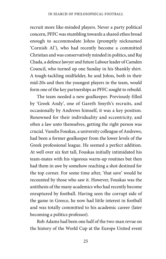recruit more like-minded players. Never a party political concern, PFFC was stumbling towards a shared ethos broad enough to accommodate Johns (promptly nicknamed 'Cornish Al'), who had recently become a committed Christian and was conservatively minded in politics, and Raj Chada, a defence lawyer and future Labour leader of Camden Council, who turned up one Sunday in his Shankly shirt. A tough-tackling midfielder, he and Johns, both in their mid-20s and then the youngest players in the team, would form one of the key partnerships as PFFC sought to rebuild.

The team needed a new goalkeeper. Previously filled by 'Greek Andy', one of Gareth Smyth's recruits, and occasionally by Andrews himself, it was a key position. Renowned for their individuality and eccentricity, and often a law unto themselves, getting the right person was crucial. Vassilis Fouskas, a university colleague of Andrews, had been a former goalkeeper from the lower levels of the Greek professional league. He seemed a perfect addition. At well over six feet tall, Fouskas initially intimidated his team-mates with his vigorous warm-up routines but then had them in awe by somehow reaching a shot destined for the top corner. For some time after, 'that save' would be recounted by those who saw it. However, Fouskas was the antithesis of the many academics who had recently become enraptured by football. Having seen the corrupt side of the game in Greece, he now had little interest in football and was totally committed to his academic career (later becoming a politics professor).

Rob Adams had been one half of the two-man revue on the history of the World Cup at the Europe United event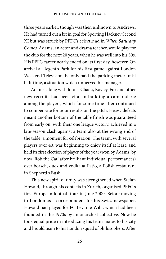three years earlier, though was then unknown to Andrews. He had turned out a bit in goal for Sporting Hackney Second XI but was struck by PFFC's eclectic ad in *When Saturday Comes*. Adams, an actor and drama teacher, would play for the club for the next 20 years, when he was well into his 50s. His PFFC career nearly ended on its first day, however. On arrival at Regent's Park for his first game against London Weekend Television, he only paid the parking meter until half-time, a situation which unnerved his manager.

Adams, along with Johns, Chada, Kayley, Fox and other new recruits had been vital in building a camaraderie among the players, which for some time after continued to compensate for poor results on the pitch. Heavy defeats meant another bottom-of-the table finish was guaranteed from early on, with their one league victory, achieved in a late-season clash against a team also at the wrong end of the table, a moment for celebration. The team, with several players over 40, was beginning to enjoy itself at least, and held its first election of player of the year (won by Adams, by now 'Rob the Cat' after brilliant individual performances) over borsch, duck and vodka at Patio, a Polish restaurant in Shepherd's Bush.

This new spirit of unity was strengthened when Stefan Howald, through his contacts in Zurich, organised PFFC's first European football tour in June 2000. Before moving to London as a correspondent for his Swiss newspaper, Howald had played for FC Levante Wibi, which had been founded in the 1970s by an anarchist collective. Now he took equal pride in introducing his team-mates to his city and his old team to his London squad of philosophers. After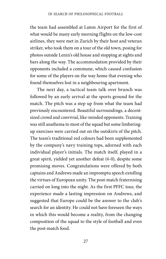the team had assembled at Luton Airport for the first of what would be many early morning flights on the low-cost airlines, they were met in Zurich by their host and veteran striker, who took them on a tour of the old town, posing for photos outside Lenin's old house and stopping at sights and bars along the way. The accommodation provided by their opponents included a commune, which caused confusion for some of the players on the way home that evening who found themselves lost in a neighbouring apartment.

The next day, a tactical team talk over brunch was followed by an early arrival at the sports ground for the match. The pitch was a step up from what the team had previously encountered. Beautiful surroundings, a decentsized crowd and convivial, like-minded opponents. Training was still anathema to most of the squad but some limberingup exercises were carried out on the outskirts of the pitch. The team's traditional red colours had been supplemented by the company's navy training tops, adorned with each individual player's initials. The match itself, played in a great spirit, yielded yet another defeat (4-0), despite some promising moves. Congratulations were offered by both captains and Andrews made an impromptu speech extolling the virtues of European unity. The post-match fraternising carried on long into the night. As the first PFFC tour, the experience made a lasting impression on Andrews, and suggested that Europe could be the answer to the club's search for an identity. He could not have foreseen the ways in which this would become a reality, from the changing composition of the squad to the style of football and even the post-match food.